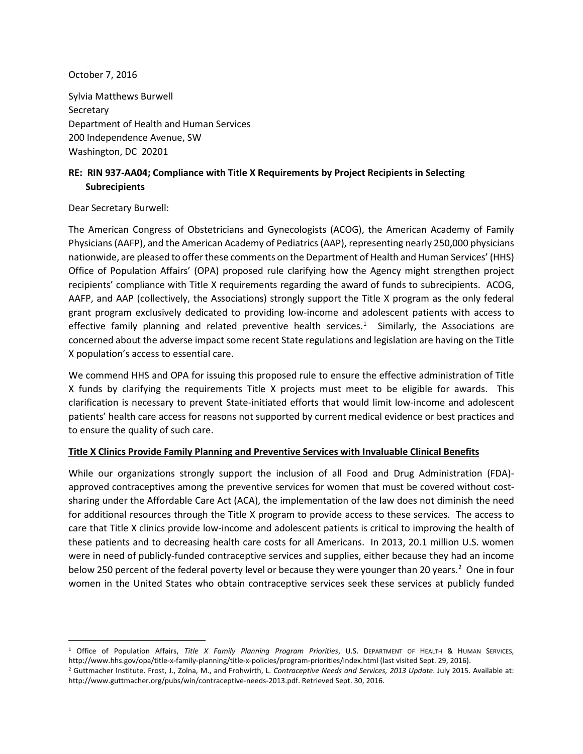October 7, 2016

Sylvia Matthews Burwell **Secretary** Department of Health and Human Services 200 Independence Avenue, SW Washington, DC 20201

## **RE: RIN 937-AA04; Compliance with Title X Requirements by Project Recipients in Selecting Subrecipients**

Dear Secretary Burwell:

The American Congress of Obstetricians and Gynecologists (ACOG), the American Academy of Family Physicians (AAFP), and the American Academy of Pediatrics (AAP), representing nearly 250,000 physicians nationwide, are pleased to offer these comments on the Department of Health and Human Services' (HHS) Office of Population Affairs' (OPA) proposed rule clarifying how the Agency might strengthen project recipients' compliance with Title X requirements regarding the award of funds to subrecipients. ACOG, AAFP, and AAP (collectively, the Associations) strongly support the Title X program as the only federal grant program exclusively dedicated to providing low-income and adolescent patients with access to effective family planning and related preventive health services.<sup>[1](#page-0-0)</sup> Similarly, the Associations are concerned about the adverse impact some recent State regulations and legislation are having on the Title X population's access to essential care.

We commend HHS and OPA for issuing this proposed rule to ensure the effective administration of Title X funds by clarifying the requirements Title X projects must meet to be eligible for awards. This clarification is necessary to prevent State-initiated efforts that would limit low-income and adolescent patients' health care access for reasons not supported by current medical evidence or best practices and to ensure the quality of such care.

## **Title X Clinics Provide Family Planning and Preventive Services with Invaluable Clinical Benefits**

While our organizations strongly support the inclusion of all Food and Drug Administration (FDA)approved contraceptives among the preventive services for women that must be covered without costsharing under the Affordable Care Act (ACA), the implementation of the law does not diminish the need for additional resources through the Title X program to provide access to these services. The access to care that Title X clinics provide low-income and adolescent patients is critical to improving the health of these patients and to decreasing health care costs for all Americans. In 2013, 20.1 million U.S. women were in need of publicly-funded contraceptive services and supplies, either because they had an income below [2](#page-0-1)50 percent of the federal poverty level or because they were younger than 20 years.<sup>2</sup> One in four women in the United States who obtain contraceptive services seek these services at publicly funded

<span id="page-0-0"></span> <sup>1</sup> Office of Population Affairs, *Title X Family Planning Program Priorities*, U.S. DEPARTMENT OF HEALTH & HUMAN SERVICES, http://www.hhs.gov/opa/title-x-family-planning/title-x-policies/program-priorities/index.html (last visited Sept. 29, 2016).

<span id="page-0-1"></span><sup>2</sup> Guttmacher Institute. Frost, J., Zolna, M., and Frohwirth, L. *Contraceptive Needs and Services, 2013 Update*. July 2015. Available at: http://www.guttmacher.org/pubs/win/contraceptive-needs-2013.pdf. Retrieved Sept. 30, 2016.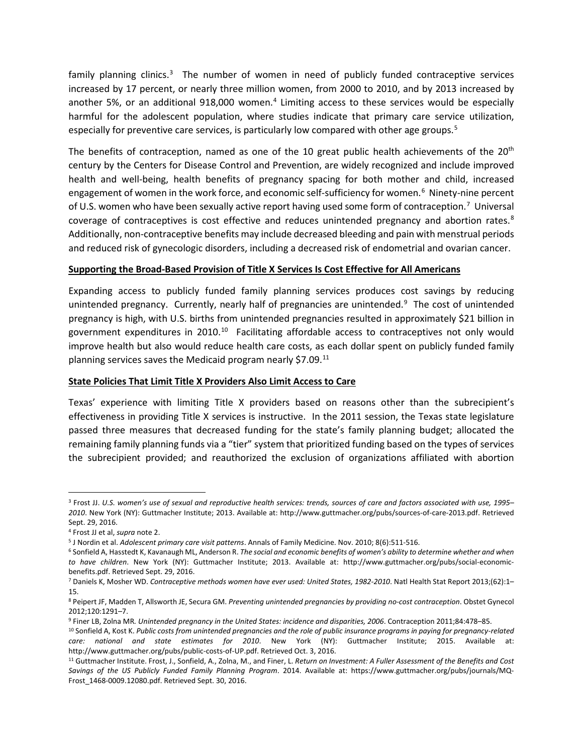family planning clinics.<sup>[3](#page-1-0)</sup> The number of women in need of publicly funded contraceptive services increased by 17 percent, or nearly three million women, from 2000 to 2010, and by 2013 increased by another 5%, or an additional 918,000 women. [4](#page-1-1) Limiting access to these services would be especially harmful for the adolescent population, where studies indicate that primary care service utilization, especially for preventive care services, is particularly low compared with other age groups.<sup>[5](#page-1-2)</sup>

The benefits of contraception, named as one of the 10 great public health achievements of the  $20<sup>th</sup>$ century by the Centers for Disease Control and Prevention, are widely recognized and include improved health and well-being, health benefits of pregnancy spacing for both mother and child, increased engagement of women in the work force, and economic self-sufficiency for women. [6](#page-1-3) Ninety-nine percent of U.S. women who have been sexually active report having used some form of contraception.<sup>[7](#page-1-4)</sup> Universal coverage of contraceptives is cost effective and reduces unintended pregnancy and abortion rates. [8](#page-1-5) Additionally, non-contraceptive benefits may include decreased bleeding and pain with menstrual periods and reduced risk of gynecologic disorders, including a decreased risk of endometrial and ovarian cancer.

## **Supporting the Broad-Based Provision of Title X Services Is Cost Effective for All Americans**

Expanding access to publicly funded family planning services produces cost savings by reducing unintended pregnancy. Currently, nearly half of pregnancies are unintended.<sup>[9](#page-1-6)</sup> The cost of unintended pregnancy is high, with U.S. births from unintended pregnancies resulted in approximately \$21 billion in government expenditures in 20[10](#page-1-7).<sup>10</sup> Facilitating affordable access to contraceptives not only would improve health but also would reduce health care costs, as each dollar spent on publicly funded family planning services saves the Medicaid program nearly \$7.09.<sup>11</sup>

## **State Policies That Limit Title X Providers Also Limit Access to Care**

Texas' experience with limiting Title X providers based on reasons other than the subrecipient's effectiveness in providing Title X services is instructive. In the 2011 session, the Texas state legislature passed three measures that decreased funding for the state's family planning budget; allocated the remaining family planning funds via a "tier" system that prioritized funding based on the types of services the subrecipient provided; and reauthorized the exclusion of organizations affiliated with abortion

<span id="page-1-0"></span> <sup>3</sup> Frost JJ. *U.S. women's use of sexual and reproductive health services: trends, sources of care and factors associated with use, 1995– 2010*. New York (NY): Guttmacher Institute; 2013. Available at: http://www.guttmacher.org/pubs/sources-of-care-2013.pdf. Retrieved Sept. 29, 2016.

<span id="page-1-1"></span><sup>4</sup> Frost JJ et al, *supra* note 2.

<span id="page-1-2"></span><sup>5</sup> J Nordin et al. *Adolescent primary care visit patterns*. Annals of Family Medicine. Nov. 2010; 8(6):511-516.

<span id="page-1-3"></span><sup>6</sup> Sonfield A, Hasstedt K, Kavanaugh ML, Anderson R. *The social and economic benefits of women's ability to determine whether and when to have children*. New York (NY): Guttmacher Institute; 2013. Available at: http://www.guttmacher.org/pubs/social-economicbenefits.pdf. Retrieved Sept. 29, 2016.

<span id="page-1-4"></span><sup>7</sup> Daniels K, Mosher WD. *Contraceptive methods women have ever used: United States, 1982-2010*. Natl Health Stat Report 2013;(62):1– 15.

<span id="page-1-5"></span><sup>8</sup> Peipert JF, Madden T, Allsworth JE, Secura GM. *Preventing unintended pregnancies by providing no-cost contraception*. Obstet Gynecol 2012;120:1291–7.

<span id="page-1-6"></span><sup>9</sup> Finer LB, Zolna MR*. Unintended pregnancy in the United States: incidence and disparities, 2006*. Contraception 2011;84:478–85.

<span id="page-1-7"></span><sup>10</sup> Sonfield A, Kost K. *Public costs from unintended pregnancies and the role of public insurance programs in paying for pregnancy-related care: national and state estimates for 2010*. New York (NY): Guttmacher Institute; 2015. Available at: http://www.guttmacher.org/pubs/public-costs-of-UP.pdf. Retrieved Oct. 3, 2016.

<span id="page-1-8"></span><sup>11</sup> Guttmacher Institute. Frost, J., Sonfield, A., Zolna, M., and Finer, L. *Return on Investment: A Fuller Assessment of the Benefits and Cost Savings of the US Publicly Funded Family Planning Program*. 2014. Available at: https://www.guttmacher.org/pubs/journals/MQ-Frost\_1468-0009.12080.pdf. Retrieved Sept. 30, 2016.